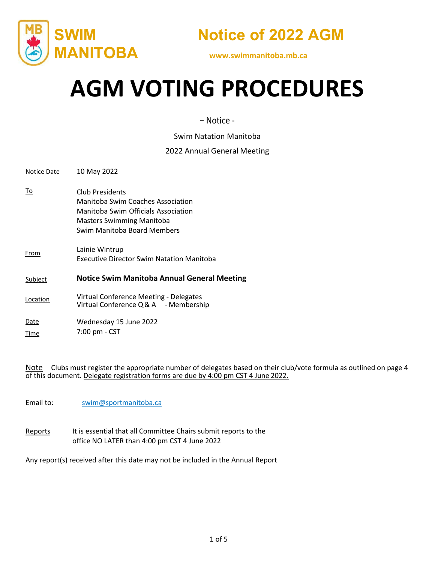



# **AGM VOTING PROCEDURES**

− Notice ‐

Swim Natation Manitoba

#### 2022 Annual General Meeting

| Notice Date                                                          | 10 May 2022                                                                                                                                                    |  |  |
|----------------------------------------------------------------------|----------------------------------------------------------------------------------------------------------------------------------------------------------------|--|--|
| To                                                                   | Club Presidents<br>Manitoba Swim Coaches Association<br>Manitoba Swim Officials Association<br><b>Masters Swimming Manitoba</b><br>Swim Manitoba Board Members |  |  |
| From                                                                 | Lainie Wintrup<br><b>Executive Director Swim Natation Manitoba</b>                                                                                             |  |  |
| <b>Notice Swim Manitoba Annual General Meeting</b><br><b>Subject</b> |                                                                                                                                                                |  |  |
| Location                                                             | Virtual Conference Meeting - Delegates<br>Virtual Conference Q & A - Membership                                                                                |  |  |
| Date<br>Time                                                         | Wednesday 15 June 2022<br>7:00 pm - CST                                                                                                                        |  |  |

Note Clubs must register the appropriate number of delegates based on their club/vote formula as outlined on page 4 of this document. Delegate registration forms are due by 4:00 pm CST 4 June 2022.

Email to: [swim@sportmanitoba.ca](mailto:swim@sportmanitoba.ca)

Reports It is essential that all Committee Chairs submit reports to the office NO LATER than 4:00 pm CST 4 June 2022

Any report(s) received after this date may not be included in the Annual Report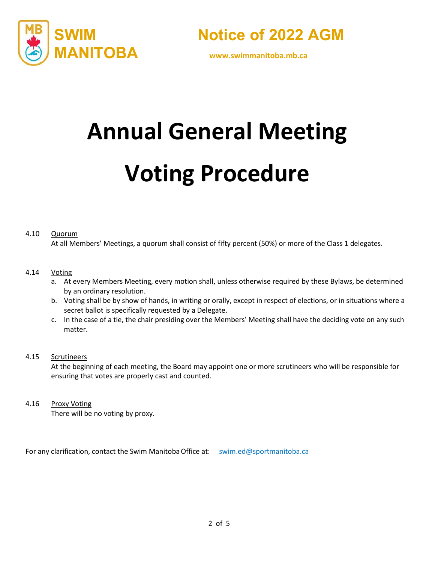



# **Annual General Meeting**

# **Voting Procedure**

#### 4.10 Quorum

At all Members' Meetings, a quorum shall consist of fifty percent (50%) or more of the Class 1 delegates.

#### 4.14 Voting

- a. At every Members Meeting, every motion shall, unless otherwise required by these Bylaws, be determined by an ordinary resolution.
- b. Voting shall be by show of hands, in writing or orally, except in respect of elections, or in situations where a secret ballot is specifically requested by a Delegate.
- c. In the case of a tie, the chair presiding over the Members' Meeting shall have the deciding vote on any such matter.

#### 4.15 Scrutineers

At the beginning of each meeting, the Board may appoint one or more scrutineers who will be responsible for ensuring that votes are properly cast and counted.

4.16 Proxy Voting

There will be no voting by proxy.

For any clarification, contact the Swim Manitoba Office at: [swim.ed@sportmanitoba.ca](mailto:swim.ed@sportmanitoba.ca)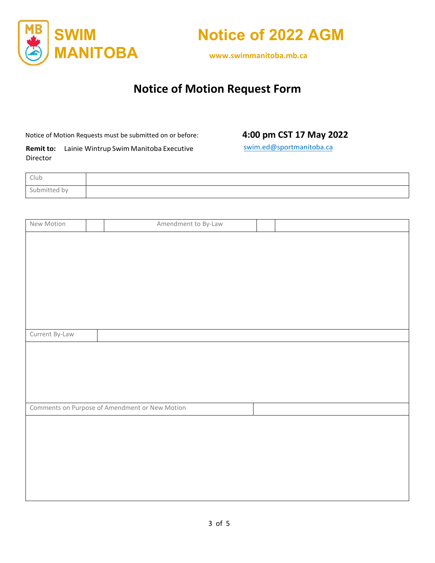



# **Notice of Motion Request Form**

Notice of Motion Requests must be submitted on or before:

#### **4:00 pm CST 17 May 2022**

**Remit to:** Lainie Wintrup Swim Manitoba Executive Director

[swim.ed@sportmanitoba.ca](mailto:swim.ed@sportmanitoba.ca)

| Club         |  |
|--------------|--|
| -<br>tted by |  |

| New Motion     | Amendment to By-Law                            |  |
|----------------|------------------------------------------------|--|
|                |                                                |  |
|                |                                                |  |
|                |                                                |  |
|                |                                                |  |
|                |                                                |  |
|                |                                                |  |
|                |                                                |  |
|                |                                                |  |
| Current By-Law |                                                |  |
|                |                                                |  |
|                |                                                |  |
|                |                                                |  |
|                |                                                |  |
|                | Comments on Purpose of Amendment or New Motion |  |
|                |                                                |  |
|                |                                                |  |
|                |                                                |  |
|                |                                                |  |
|                |                                                |  |
|                |                                                |  |
|                |                                                |  |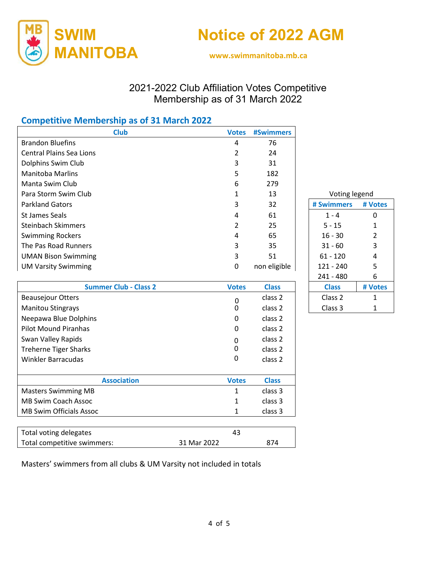



## 2021-2022 Club Affiliation Votes Competitive Membership as of 31 March 2022

### **Competitive Membership as of 31 March 2022**

| <b>Club</b>                     | <b>Votes</b>   | <b>#Swimmers</b>   |               |              |
|---------------------------------|----------------|--------------------|---------------|--------------|
| <b>Brandon Bluefins</b>         | 4              | 76                 |               |              |
| <b>Central Plains Sea Lions</b> | $\overline{2}$ | 24                 |               |              |
| Dolphins Swim Club              | 3              | 31                 |               |              |
| <b>Manitoba Marlins</b>         | 5              | 182                |               |              |
| Manta Swim Club                 | 6              | 279                |               |              |
| Para Storm Swim Club            | 1              | 13                 | Voting legend |              |
| <b>Parkland Gators</b>          | 3              | 32                 | # Swimmers    | # Votes      |
| <b>St James Seals</b>           | 4              | 61                 | $1 - 4$       | $\mathbf{0}$ |
| <b>Steinbach Skimmers</b>       | 2              | 25                 | $5 - 15$      | 1            |
| <b>Swimming Rockers</b>         | 4              | 65                 | $16 - 30$     | 2            |
| The Pas Road Runners            | 3              | 35                 | $31 - 60$     | 3            |
| <b>UMAN Bison Swimming</b>      | 3              | 51                 | $61 - 120$    | 4            |
| <b>UM Varsity Swimming</b>      | $\mathbf 0$    | non eligible       | $121 - 240$   | 5            |
|                                 |                |                    | $241 - 480$   | 6            |
| <b>Summer Club - Class 2</b>    | <b>Votes</b>   | <b>Class</b>       | <b>Class</b>  | # Votes      |
| <b>Beausejour Otters</b>        | $\mathbf 0$    | class 2            | Class 2       | 1            |
| <b>Manitou Stingrays</b>        | 0              | class 2            | Class 3       | 1            |
| Neepawa Blue Dolphins           | 0              | class 2            |               |              |
| <b>Pilot Mound Piranhas</b>     | $\Omega$       | class 2            |               |              |
| Swan Valley Rapids              | 0              | class 2            |               |              |
| <b>Treherne Tiger Sharks</b>    | 0              | class <sub>2</sub> |               |              |
| <b>Winkler Barracudas</b>       | 0              | class 2            |               |              |
|                                 |                |                    |               |              |
| <b>Association</b>              | <b>Votes</b>   | <b>Class</b>       |               |              |
| <b>Masters Swimming MB</b>      | $\mathbf{1}$   | class 3            |               |              |
| <b>MB Swim Coach Assoc</b>      | 1              | class 3            |               |              |
| <b>MB Swim Officials Assoc</b>  | 1              | class 3            |               |              |

| Total voting delegates      |             |     |  |
|-----------------------------|-------------|-----|--|
| Total competitive swimmers: | 31 Mar 2022 | 874 |  |

Masters' swimmers from all clubs & UM Varsity not included in totals